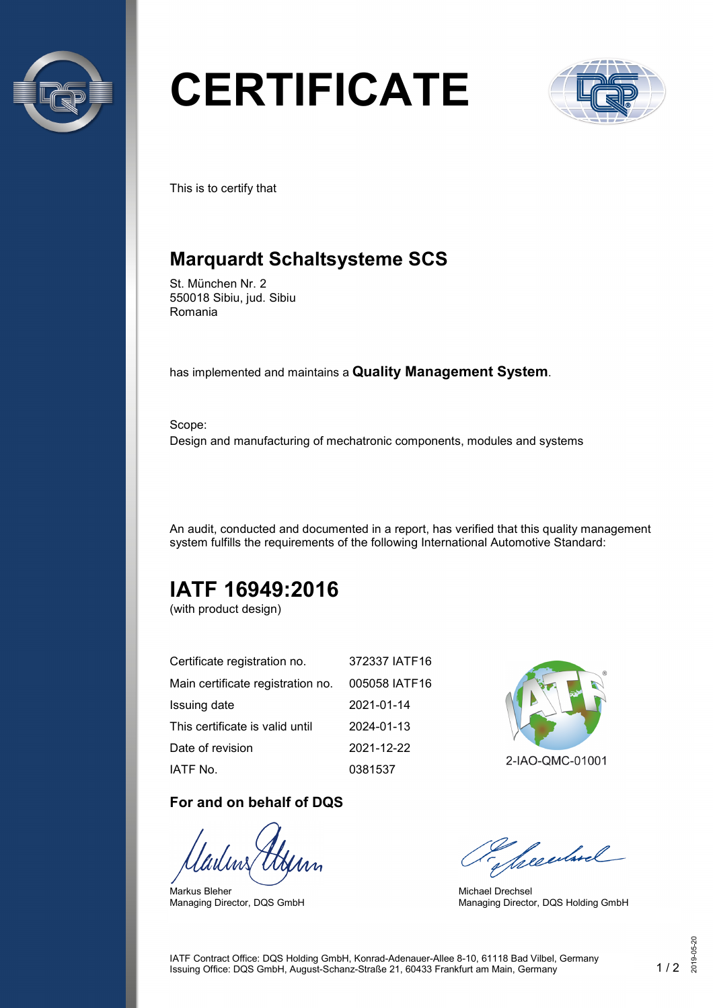

# **CERTIFICATE**



This is to certify that

## **Marquardt Schaltsysteme SCS**

St. München Nr. 2 550018 Sibiu, jud. Sibiu Romania

has implemented and maintains a **Quality Management System**.

Scope: Design and manufacturing of mechatronic components, modules and systems

An audit, conducted and documented in a report, has verified that this quality management system fulfills the requirements of the following International Automotive Standard:

## **IATF 16949:2016**

(with product design)

| Certificate registration no.      | 372337 IATF16 |
|-----------------------------------|---------------|
| Main certificate registration no. | 005058 IATF16 |
| Issuing date                      | 2021-01-14    |
| This certificate is valid until   | 2024-01-13    |
| Date of revision                  | 2021-12-22    |
| IATF No.                          | 0381537       |

#### **For and on behalf of DQS**

Markus Bleher Managing Director, DQS GmbH



2-IAO-QMC-01001

Seculard

Michael Drechsel Managing Director, DQS Holding GmbH

IATF Contract Office: DQS Holding GmbH, Konrad-Adenauer-Allee 8-10, 61118 Bad Vilbel, Germany Issuing Office: DQS GmbH, August-Schanz-Straße 21, <sup>60433</sup> Frankfurt am Main, Germany 1 / 2 2019-05-20